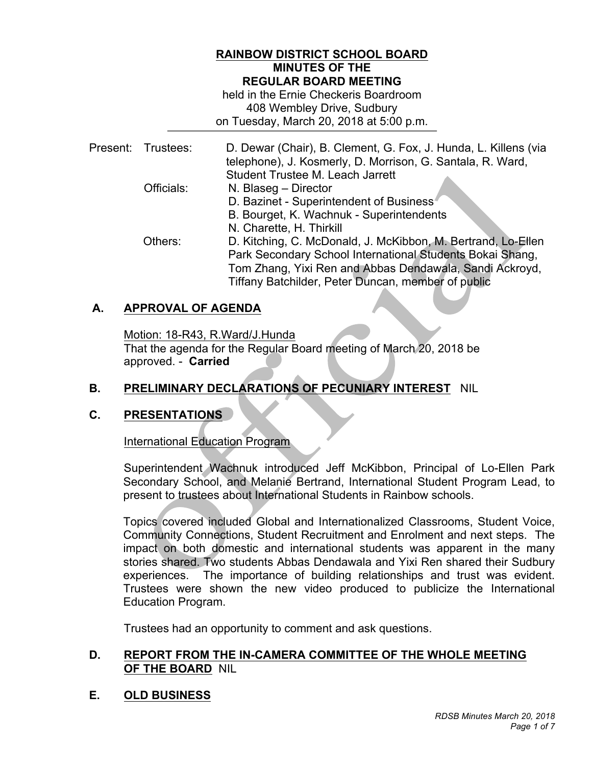#### **RAINBOW DISTRICT SCHOOL BOARD MINUTES OF THE REGULAR BOARD MEETING**

 408 Wembley Drive, Sudbury on Tuesday, March 20, 2018 at 5:00 p.m. held in the Ernie Checkeris Boardroom

|  | Present: Trustees: | D. Dewar (Chair), B. Clement, G. Fox, J. Hunda, L. Killens (via<br>telephone), J. Kosmerly, D. Morrison, G. Santala, R. Ward,<br>Student Trustee M. Leach Jarrett |
|--|--------------------|-------------------------------------------------------------------------------------------------------------------------------------------------------------------|
|  | Officials:         | N. Blaseg - Director                                                                                                                                              |
|  |                    | D. Bazinet - Superintendent of Business                                                                                                                           |
|  |                    | B. Bourget, K. Wachnuk - Superintendents                                                                                                                          |
|  |                    | N. Charette, H. Thirkill                                                                                                                                          |
|  | Others:            | D. Kitching, C. McDonald, J. McKibbon, M. Bertrand, Lo-Ellen                                                                                                      |
|  |                    | Park Secondary School International Students Bokai Shang,                                                                                                         |
|  |                    | Tom Zhang, Yixi Ren and Abbas Dendawala, Sandi Ackroyd,                                                                                                           |
|  |                    | Tiffany Batchilder, Peter Duncan, member of public                                                                                                                |

## **A. APPROVAL OF AGENDA**

Motion: 18-R43, R.Ward/J.Hunda

 approved. - **Carried** That the agenda for the Regular Board meeting of March 20, 2018 be

## **B. PRELIMINARY DECLARATIONS OF PECUNIARY INTEREST** NIL

#### **C. PRESENTATIONS**

International Education Program

 Secondary School, and Melanie Bertrand, International Student Program Lead, to present to trustees about International Students in Rainbow schools. Superintendent Wachnuk introduced Jeff McKibbon, Principal of Lo-Ellen Park

 Topics covered included Global and Internationalized Classrooms, Student Voice, Community Connections, Student Recruitment and Enrolment and next steps. The impact on both domestic and international students was apparent in the many stories shared. Two students Abbas Dendawala and Yixi Ren shared their Sudbury experiences. The importance of building relationships and trust was evident. Trustees were shown the new video produced to publicize the International Education Program.

Trustees had an opportunity to comment and ask questions.

#### **D. REPORT FROM THE IN-CAMERA COMMITTEE OF THE WHOLE MEETING OF THE BOARD** NIL

 **E. OLD BUSINESS**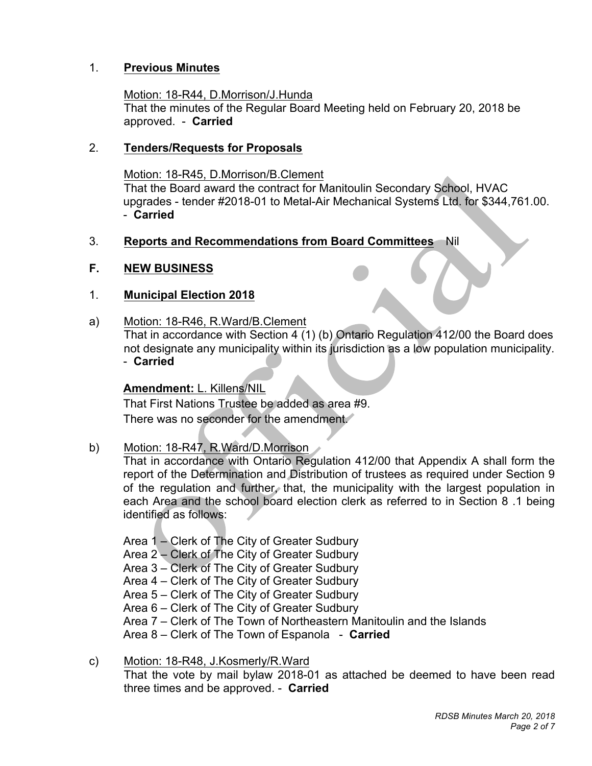## 1. **Previous Minutes**

# Motion: 18-R44, D.Morrison/J.Hunda

 approved. - **Carried**  That the minutes of the Regular Board Meeting held on February 20, 2018 be

## 2. **Tenders/Requests for Proposals**

 Motion: 18-R45, D.Morrison/B.Clement That the Board award the contract for Manitoulin Secondary School, HVAC - **Carried**  upgrades - tender #2018-01 to Metal-Air Mechanical Systems Ltd. for \$344,761.00.

## 3. **Reports and Recommendations from Board Committees** Nil

#### $F_{\perp}$ **NEW BUSINESS**

## 1. **Municipal Election 2018**

a) Motion: 18-R46, R.Ward/B.Clement

 That in accordance with Section 4 (1) (b) Ontario Regulation 412/00 the Board does not designate any municipality within its jurisdiction as a low population municipality. - **Carried** 

### **Amendment:** L. Killens/NIL

 That First Nations Trustee be added as area #9. There was no seconder for the amendment.

b) Motion: 18-R47, R.Ward/D.Morrison

 That in accordance with Ontario Regulation 412/00 that Appendix A shall form the report of the Determination and Distribution of trustees as required under Section 9 of the regulation and further, that, the municipality with the largest population in each Area and the school board election clerk as referred to in Section 8 .1 being identified as follows:

 Area 1 – Clerk of The City of Greater Sudbury Area 2 – Clerk of The City of Greater Sudbury Area 6 – Clerk of The City of Greater Sudbury Area 7 – Clerk of The Town of Northeastern Manitoulin and the Islands Area 8 – Clerk of The Town of Espanola - **Carried** Area 3 – Clerk of The City of Greater Sudbury Area 4 – Clerk of The City of Greater Sudbury Area 5 – Clerk of The City of Greater Sudbury

 That the vote by mail bylaw 2018-01 as attached be deemed to have been read three times and be approved. - **Carried**  c) Motion: 18-R48, J.Kosmerly/R.Ward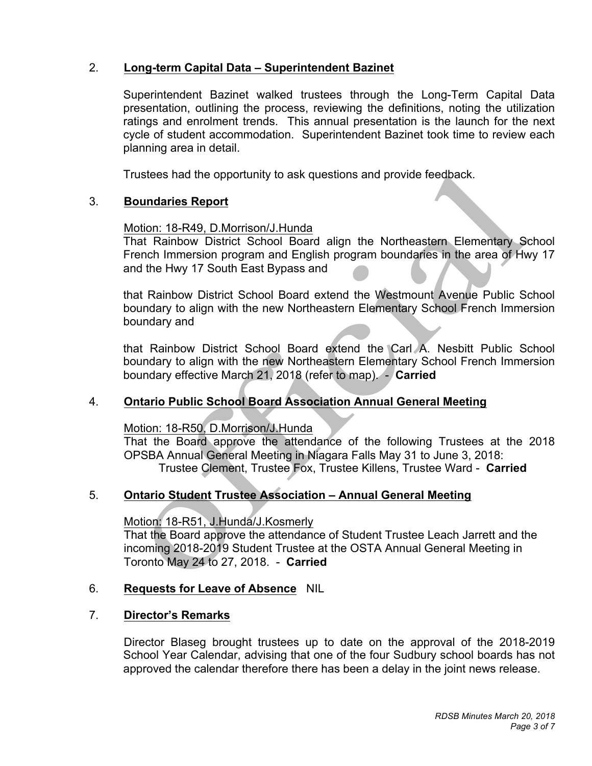## 2. **Long-term Capital Data – Superintendent Bazinet**

 presentation, outlining the process, reviewing the definitions, noting the utilization ratings and enrolment trends. This annual presentation is the launch for the next cycle of student accommodation. Superintendent Bazinet took time to review each planning area in detail. Superintendent Bazinet walked trustees through the Long-Term Capital Data

Trustees had the opportunity to ask questions and provide feedback.

## 3. **Boundaries Report**

#### Motion: 18-R49, D.Morrison/J.Hunda

 That Rainbow District School Board align the Northeastern Elementary School French Immersion program and English program boundaries in the area of Hwy 17 and the Hwy 17 South East Bypass and

 that Rainbow District School Board extend the Westmount Avenue Public School boundary to align with the new Northeastern Elementary School French Immersion boundary and

 that Rainbow District School Board extend the Carl A. Nesbitt Public School boundary to align with the new Northeastern Elementary School French Immersion boundary effective March 21, 2018 (refer to map). - **Carried** 

## 4. **Ontario Public School Board Association Annual General Meeting**

Motion: 18-R50, D.Morrison/J.Hunda

 OPSBA Annual General Meeting in Niagara Falls May 31 to June 3, 2018: That the Board approve the attendance of the following Trustees at the 2018 Trustee Clement, Trustee Fox, Trustee Killens, Trustee Ward - **Carried** 

#### 5. **Ontario Student Trustee Association – Annual General Meeting**

Motion: 18-R51, J.Hunda/J.Kosmerly

 incoming 2018-2019 Student Trustee at the OSTA Annual General Meeting in Toronto May 24 to 27, 2018. - **Carried**  That the Board approve the attendance of Student Trustee Leach Jarrett and the

#### 6. **Requests for Leave of Absence** NIL

#### 7. **Director's Remarks**

 Director Blaseg brought trustees up to date on the approval of the 2018-2019 School Year Calendar, advising that one of the four Sudbury school boards has not approved the calendar therefore there has been a delay in the joint news release.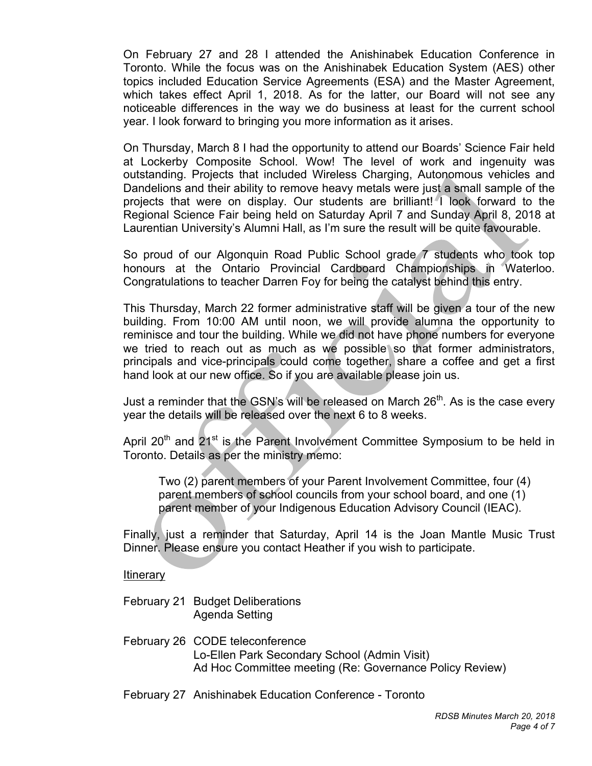On February 27 and 28 I attended the Anishinabek Education Conference in Toronto. While the focus was on the Anishinabek Education System (AES) other topics included Education Service Agreements (ESA) and the Master Agreement, which takes effect April 1, 2018. As for the latter, our Board will not see any noticeable differences in the way we do business at least for the current school year. I look forward to bringing you more information as it arises.

 On Thursday, March 8 I had the opportunity to attend our Boards' Science Fair held at Lockerby Composite School. Wow! The level of work and ingenuity was Dandelions and their ability to remove heavy metals were just a small sample of the projects that were on display. Our students are brilliant! I look forward to the Regional Science Fair being held on Saturday April 7 and Sunday April 8, 2018 at Laurentian University's Alumni Hall, as I'm sure the result will be quite favourable. outstanding. Projects that included Wireless Charging, Autonomous vehicles and

 So proud of our Algonquin Road Public School grade 7 students who took top honours at the Ontario Provincial Cardboard Championships in Waterloo. Congratulations to teacher Darren Foy for being the catalyst behind this entry.

 This Thursday, March 22 former administrative staff will be given a tour of the new building. From 10:00 AM until noon, we will provide alumna the opportunity to reminisce and tour the building. While we did not have phone numbers for everyone we tried to reach out as much as we possible so that former administrators, principals and vice-principals could come together, share a coffee and get a first hand look at our new office. So if you are available please join us.

Just a reminder that the GSN's will be released on March  $26<sup>th</sup>$ . As is the case every year the details will be released over the next 6 to 8 weeks.

April 20<sup>th</sup> and 21<sup>st</sup> is the Parent Involvement Committee Symposium to be held in Toronto. Details as per the ministry memo:

Two (2) parent members of your Parent Involvement Committee, four (4) parent members of school councils from your school board, and one (1) parent member of your Indigenous Education Advisory Council (IEAC).

 Finally, just a reminder that Saturday, April 14 is the Joan Mantle Music Trust Dinner. Please ensure you contact Heather if you wish to participate.

#### **Itinerary**

- February 21 Budget Deliberations Agenda Setting
- February 26 CODE teleconference Lo-Ellen Park Secondary School (Admin Visit) Ad Hoc Committee meeting (Re: Governance Policy Review)
- February 27 Anishinabek Education Conference Toronto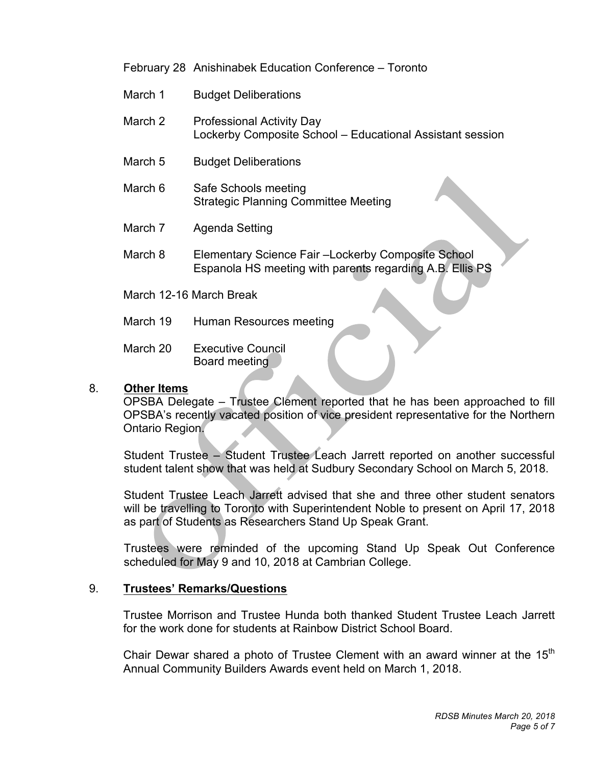February 28 Anishinabek Education Conference – Toronto

- March 1 **Budget Deliberations**
- March 2 Professional Activity Day Lockerby Composite School – Educational Assistant session
- March 5 **Budget Deliberations**
- March 6 Safe Schools meeting Strategic Planning Committee Meeting
- March<sub>7</sub> Agenda Setting
- March 8 Elementary Science Fair –Lockerby Composite School Espanola HS meeting with parents regarding A.B. Ellis PS
- March 12-16 March Break
- March 19 Human Resources meeting
- March 20 **Executive Council** Board meeting

### 8. **Other Items**

 OPSBA Delegate – Trustee Clement reported that he has been approached to fill OPSBA's recently vacated position of vice president representative for the Northern Ontario Region.

 Student Trustee – Student Trustee Leach Jarrett reported on another successful student talent show that was held at Sudbury Secondary School on March 5, 2018.

 Student Trustee Leach Jarrett advised that she and three other student senators will be travelling to Toronto with Superintendent Noble to present on April 17, 2018 as part of Students as Researchers Stand Up Speak Grant.

 Trustees were reminded of the upcoming Stand Up Speak Out Conference scheduled for May 9 and 10, 2018 at Cambrian College.

#### 9. 9. **Trustees' Remarks/Questions**

 Trustee Morrison and Trustee Hunda both thanked Student Trustee Leach Jarrett for the work done for students at Rainbow District School Board.

Chair Dewar shared a photo of Trustee Clement with an award winner at the 15<sup>th</sup> Annual Community Builders Awards event held on March 1, 2018.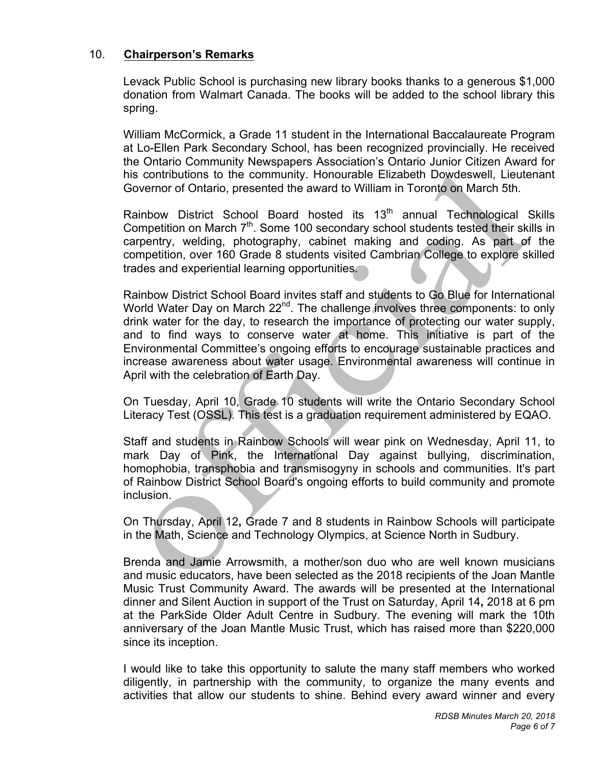## 10. **Chairperson's Remarks**

 Levack Public School is purchasing new library books thanks to a generous \$1,000 donation from Walmart Canada. The books will be added to the school library this spring.

 William McCormick, a Grade 11 student in the International Baccalaureate Program at Lo-Ellen Park Secondary School, has been recognized provincially. He received the Ontario Community Newspapers Association's Ontario Junior Citizen Award for his contributions to the community. Honourable Elizabeth Dowdeswell, Lieutenant Governor of Ontario, presented the award to William in Toronto on March 5th.

Rainbow District School Board hosted its 13<sup>th</sup> annual Technological Skills Competition on March  $7<sup>th</sup>$ . Some 100 secondary school students tested their skills in carpentry, welding, photography, cabinet making and coding. As part of the competition, over 160 Grade 8 students visited Cambrian College to explore skilled trades and experiential learning opportunities.

 Rainbow District School Board invites staff and students to Go Blue for International World Water Day on March  $22^{nd}$ . The challenge involves three components: to only drink water for the day, to research the importance of protecting our water supply, and to find ways to conserve water at home. This initiative is part of the Environmental Committee's ongoing efforts to encourage sustainable practices and increase awareness about water usage. Environmental awareness will continue in April with the celebration of Earth Day.

 On Tuesday, April 10, Grade 10 students will write the Ontario Secondary School Literacy Test (OSSL). This test is a graduation requirement administered by EQAO.

 Staff and students in Rainbow Schools will wear pink on Wednesday, April 11, to mark Day of Pink, the International Day against bullying, discrimination, homophobia, transphobia and transmisogyny in schools and communities. It's part of Rainbow District School Board's ongoing efforts to build community and promote inclusion.

 On Thursday, April 12**,** Grade 7 and 8 students in Rainbow Schools will participate in the Math, Science and Technology Olympics, at Science North in Sudbury.

 Brenda and Jamie Arrowsmith, a mother/son duo who are well known musicians and music educators, have been selected as the 2018 recipients of the Joan Mantle Music Trust Community Award. The awards will be presented at the International dinner and Silent Auction in support of the Trust on Saturday, April 14**,** 2018 at 6 pm at the ParkSide Older Adult Centre in Sudbury. The evening will mark the 10th anniversary of the Joan Mantle Music Trust, which has raised more than \$220,000 since its inception.

 I would like to take this opportunity to salute the many staff members who worked diligently, in partnership with the community, to organize the many events and activities that allow our students to shine. Behind every award winner and every